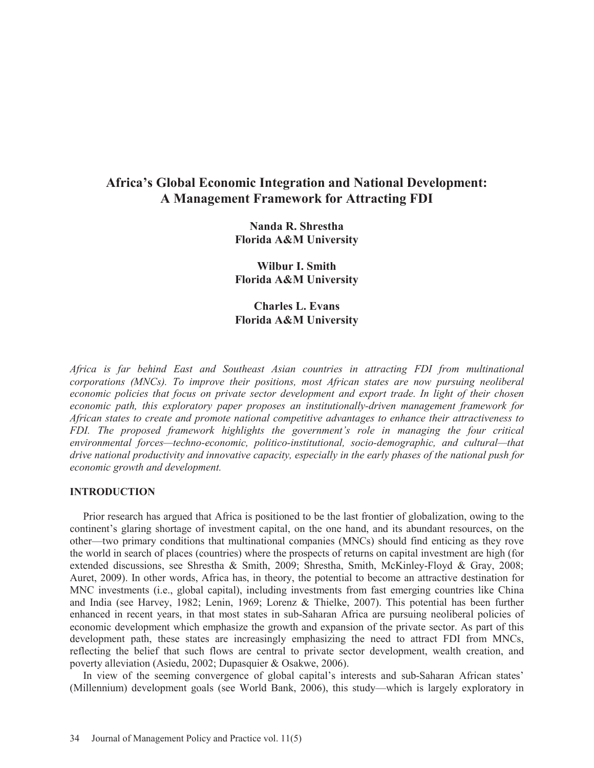# **Africa's Global Economic Integration and National Development: A Management Framework for Attracting FDI**

**Nanda R. Shrestha Florida A&M University** 

**Wilbur I. Smith Florida A&M University** 

**Charles L. Evans Florida A&M University** 

*Africa is far behind East and Southeast Asian countries in attracting FDI from multinational corporations (MNCs). To improve their positions, most African states are now pursuing neoliberal economic policies that focus on private sector development and export trade. In light of their chosen economic path, this exploratory paper proposes an institutionally-driven management framework for African states to create and promote national competitive advantages to enhance their attractiveness to FDI. The proposed framework highlights the government's role in managing the four critical environmental forces—techno-economic, politico-institutional, socio-demographic, and cultural—that drive national productivity and innovative capacity, especially in the early phases of the national push for economic growth and development.* 

#### **INTRODUCTION**

 Prior research has argued that Africa is positioned to be the last frontier of globalization, owing to the continent's glaring shortage of investment capital, on the one hand, and its abundant resources, on the other—two primary conditions that multinational companies (MNCs) should find enticing as they rove the world in search of places (countries) where the prospects of returns on capital investment are high (for extended discussions, see Shrestha & Smith, 2009; Shrestha, Smith, McKinley-Floyd & Gray, 2008; Auret, 2009). In other words, Africa has, in theory, the potential to become an attractive destination for MNC investments (i.e., global capital), including investments from fast emerging countries like China and India (see Harvey, 1982; Lenin, 1969; Lorenz & Thielke, 2007). This potential has been further enhanced in recent years, in that most states in sub-Saharan Africa are pursuing neoliberal policies of economic development which emphasize the growth and expansion of the private sector. As part of this development path, these states are increasingly emphasizing the need to attract FDI from MNCs, reflecting the belief that such flows are central to private sector development, wealth creation, and poverty alleviation (Asiedu, 2002; Dupasquier & Osakwe, 2006).

 In view of the seeming convergence of global capital's interests and sub-Saharan African states' (Millennium) development goals (see World Bank, 2006), this study—which is largely exploratory in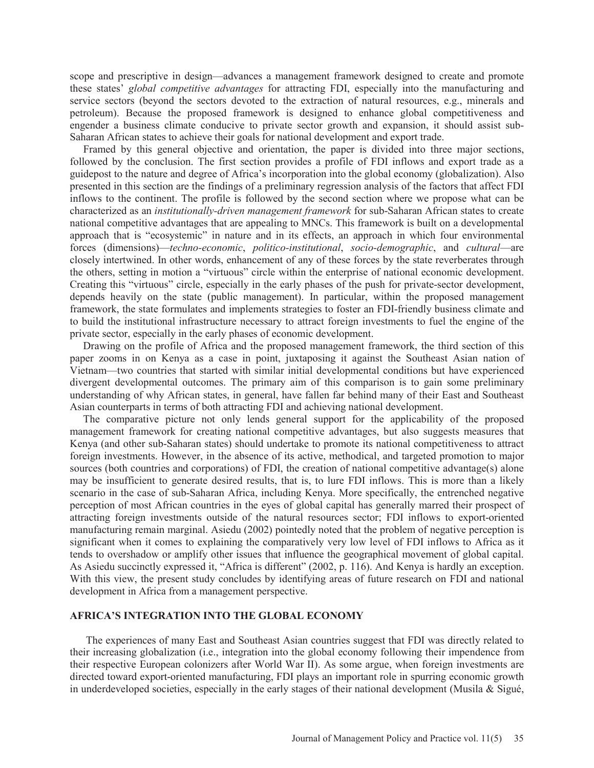scope and prescriptive in design—advances a management framework designed to create and promote these states' *global competitive advantages* for attracting FDI, especially into the manufacturing and service sectors (beyond the sectors devoted to the extraction of natural resources, e.g., minerals and petroleum). Because the proposed framework is designed to enhance global competitiveness and engender a business climate conducive to private sector growth and expansion, it should assist sub-Saharan African states to achieve their goals for national development and export trade.

 Framed by this general objective and orientation, the paper is divided into three major sections, followed by the conclusion. The first section provides a profile of FDI inflows and export trade as a guidepost to the nature and degree of Africa's incorporation into the global economy (globalization). Also presented in this section are the findings of a preliminary regression analysis of the factors that affect FDI inflows to the continent. The profile is followed by the second section where we propose what can be characterized as an *institutionally-driven management framework* for sub-Saharan African states to create national competitive advantages that are appealing to MNCs. This framework is built on a developmental approach that is "ecosystemic" in nature and in its effects, an approach in which four environmental forces (dimensions)—*techno-economic*, *politico-institutional*, *socio-demographic*, and *cultural*—are closely intertwined. In other words, enhancement of any of these forces by the state reverberates through the others, setting in motion a "virtuous" circle within the enterprise of national economic development. Creating this "virtuous" circle, especially in the early phases of the push for private-sector development, depends heavily on the state (public management). In particular, within the proposed management framework, the state formulates and implements strategies to foster an FDI-friendly business climate and to build the institutional infrastructure necessary to attract foreign investments to fuel the engine of the private sector, especially in the early phases of economic development.

 Drawing on the profile of Africa and the proposed management framework, the third section of this paper zooms in on Kenya as a case in point, juxtaposing it against the Southeast Asian nation of Vietnam—two countries that started with similar initial developmental conditions but have experienced divergent developmental outcomes. The primary aim of this comparison is to gain some preliminary understanding of why African states, in general, have fallen far behind many of their East and Southeast Asian counterparts in terms of both attracting FDI and achieving national development.

 The comparative picture not only lends general support for the applicability of the proposed management framework for creating national competitive advantages, but also suggests measures that Kenya (and other sub-Saharan states) should undertake to promote its national competitiveness to attract foreign investments. However, in the absence of its active, methodical, and targeted promotion to major sources (both countries and corporations) of FDI, the creation of national competitive advantage(s) alone may be insufficient to generate desired results, that is, to lure FDI inflows. This is more than a likely scenario in the case of sub-Saharan Africa, including Kenya. More specifically, the entrenched negative perception of most African countries in the eyes of global capital has generally marred their prospect of attracting foreign investments outside of the natural resources sector; FDI inflows to export-oriented manufacturing remain marginal. Asiedu (2002) pointedly noted that the problem of negative perception is significant when it comes to explaining the comparatively very low level of FDI inflows to Africa as it tends to overshadow or amplify other issues that influence the geographical movement of global capital. As Asiedu succinctly expressed it, "Africa is different" (2002, p. 116). And Kenya is hardly an exception. With this view, the present study concludes by identifying areas of future research on FDI and national development in Africa from a management perspective.

# **AFRICA'S INTEGRATION INTO THE GLOBAL ECONOMY**

 The experiences of many East and Southeast Asian countries suggest that FDI was directly related to their increasing globalization (i.e., integration into the global economy following their impendence from their respective European colonizers after World War II). As some argue, when foreign investments are directed toward export-oriented manufacturing, FDI plays an important role in spurring economic growth in underdeveloped societies, especially in the early stages of their national development (Musila  $\&$  Sigué,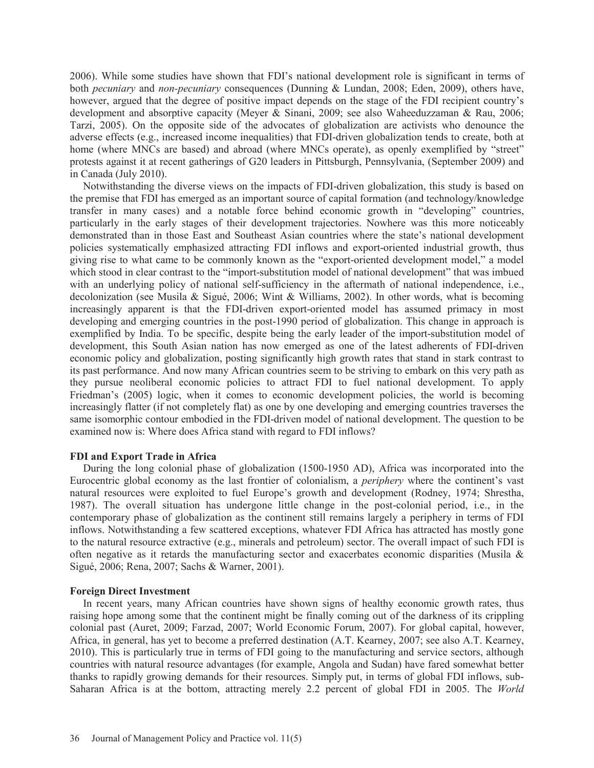2006). While some studies have shown that FDI's national development role is significant in terms of both *pecuniary* and *non-pecuniary* consequences (Dunning & Lundan, 2008; Eden, 2009), others have, however, argued that the degree of positive impact depends on the stage of the FDI recipient country's development and absorptive capacity (Meyer & Sinani, 2009; see also Waheeduzzaman & Rau, 2006; Tarzi, 2005). On the opposite side of the advocates of globalization are activists who denounce the adverse effects (e.g., increased income inequalities) that FDI-driven globalization tends to create, both at home (where MNCs are based) and abroad (where MNCs operate), as openly exemplified by "street" protests against it at recent gatherings of G20 leaders in Pittsburgh, Pennsylvania, (September 2009) and in Canada (July 2010).

 Notwithstanding the diverse views on the impacts of FDI-driven globalization, this study is based on the premise that FDI has emerged as an important source of capital formation (and technology/knowledge transfer in many cases) and a notable force behind economic growth in "developing" countries, particularly in the early stages of their development trajectories. Nowhere was this more noticeably demonstrated than in those East and Southeast Asian countries where the state's national development policies systematically emphasized attracting FDI inflows and export-oriented industrial growth, thus giving rise to what came to be commonly known as the "export-oriented development model," a model which stood in clear contrast to the "import-substitution model of national development" that was imbued with an underlying policy of national self-sufficiency in the aftermath of national independence, i.e., decolonization (see Musila & Sigué, 2006; Wint & Williams, 2002). In other words, what is becoming increasingly apparent is that the FDI-driven export-oriented model has assumed primacy in most developing and emerging countries in the post-1990 period of globalization. This change in approach is exemplified by India. To be specific, despite being the early leader of the import-substitution model of development, this South Asian nation has now emerged as one of the latest adherents of FDI-driven economic policy and globalization, posting significantly high growth rates that stand in stark contrast to its past performance. And now many African countries seem to be striving to embark on this very path as they pursue neoliberal economic policies to attract FDI to fuel national development. To apply Friedman's (2005) logic, when it comes to economic development policies, the world is becoming increasingly flatter (if not completely flat) as one by one developing and emerging countries traverses the same isomorphic contour embodied in the FDI-driven model of national development. The question to be examined now is: Where does Africa stand with regard to FDI inflows?

### **FDI and Export Trade in Africa**

 During the long colonial phase of globalization (1500-1950 AD), Africa was incorporated into the Eurocentric global economy as the last frontier of colonialism, a *periphery* where the continent's vast natural resources were exploited to fuel Europe's growth and development (Rodney, 1974; Shrestha, 1987). The overall situation has undergone little change in the post-colonial period, i.e., in the contemporary phase of globalization as the continent still remains largely a periphery in terms of FDI inflows. Notwithstanding a few scattered exceptions, whatever FDI Africa has attracted has mostly gone to the natural resource extractive (e.g., minerals and petroleum) sector. The overall impact of such FDI is often negative as it retards the manufacturing sector and exacerbates economic disparities (Musila & Sigué, 2006; Rena, 2007; Sachs & Warner, 2001).

### **Foreign Direct Investment**

 In recent years, many African countries have shown signs of healthy economic growth rates, thus raising hope among some that the continent might be finally coming out of the darkness of its crippling colonial past (Auret, 2009; Farzad, 2007; World Economic Forum, 2007). For global capital, however, Africa, in general, has yet to become a preferred destination (A.T. Kearney, 2007; see also A.T. Kearney, 2010). This is particularly true in terms of FDI going to the manufacturing and service sectors, although countries with natural resource advantages (for example, Angola and Sudan) have fared somewhat better thanks to rapidly growing demands for their resources. Simply put, in terms of global FDI inflows, sub-Saharan Africa is at the bottom, attracting merely 2.2 percent of global FDI in 2005. The *World*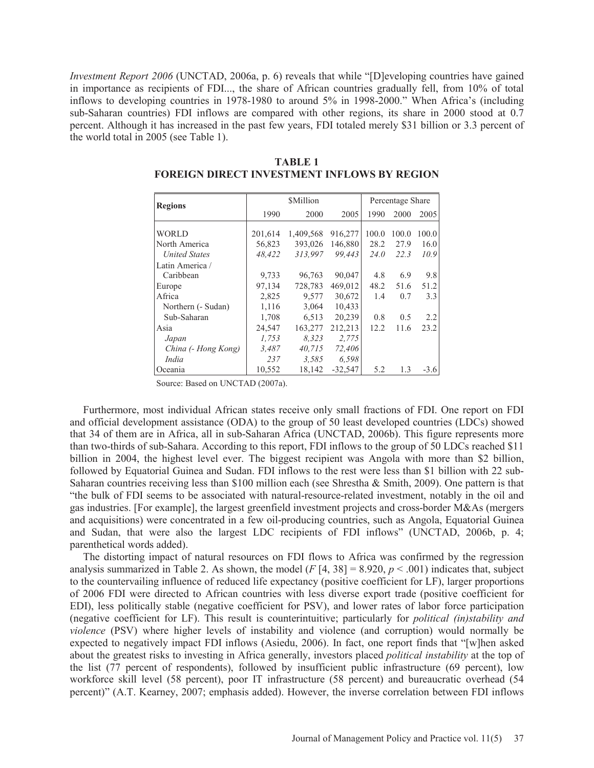*Investment Report 2006* (UNCTAD, 2006a, p. 6) reveals that while "[D]eveloping countries have gained in importance as recipients of FDI..., the share of African countries gradually fell, from 10% of total inflows to developing countries in 1978-1980 to around 5% in 1998-2000." When Africa's (including sub-Saharan countries) FDI inflows are compared with other regions, its share in 2000 stood at 0.7 percent. Although it has increased in the past few years, FDI totaled merely \$31 billion or 3.3 percent of the world total in 2005 (see Table 1).

| <b>Regions</b>       |              | Percentage Share |           |       |       |        |
|----------------------|--------------|------------------|-----------|-------|-------|--------|
|                      | 1990<br>2000 |                  | 2005      | 1990  | 2000  | 2005   |
|                      |              |                  |           |       |       |        |
| <b>WORLD</b>         | 201,614      | 1,409,568        | 916,277   | 100.0 | 100.0 | 100.0  |
| North America        | 56,823       | 393,026          | 146,880   | 28.2  | 27.9  | 16.0   |
| <b>United States</b> | 48,422       | 313,997          | 99.443    | 24.0  | 22.3  | 10.9   |
| Latin America /      |              |                  |           |       |       |        |
| Caribbean            | 9,733        | 96,763           | 90,047    | 4.8   | 6.9   | 9.8    |
| Europe               | 97,134       | 728.783          | 469.012   | 48.2  | 51.6  | 51.2   |
| Africa               | 2,825        | 9.577            | 30,672    | 1.4   | 0.7   | 3.3    |
| Northern (- Sudan)   | 1,116        | 3,064            | 10,433    |       |       |        |
| Sub-Saharan          | 1,708        | 6,513            | 20,239    | 0.8   | 0.5   | 2.2    |
| Asia                 | 24,547       | 163,277          | 212,213   | 12.2  | 11.6  | 23.2   |
| Japan                | 1,753        | 8.323            | 2,775     |       |       |        |
| China (- Hong Kong)  | 3,487        | 40.715           | 72,406    |       |       |        |
| India                | 237          | 3.585            | 6.598     |       |       |        |
| Oceania              | 10,552       | 18.142           | $-32.547$ | 5.2   | 1.3   | $-3.6$ |

**TABLE 1 FOREIGN DIRECT INVESTMENT INFLOWS BY REGION** 

Source: Based on UNCTAD (2007a).

 Furthermore, most individual African states receive only small fractions of FDI. One report on FDI and official development assistance (ODA) to the group of 50 least developed countries (LDCs) showed that 34 of them are in Africa, all in sub-Saharan Africa (UNCTAD, 2006b). This figure represents more than two-thirds of sub-Sahara. According to this report, FDI inflows to the group of 50 LDCs reached \$11 billion in 2004, the highest level ever. The biggest recipient was Angola with more than \$2 billion, followed by Equatorial Guinea and Sudan. FDI inflows to the rest were less than \$1 billion with 22 sub-Saharan countries receiving less than \$100 million each (see Shrestha & Smith, 2009). One pattern is that "the bulk of FDI seems to be associated with natural-resource-related investment, notably in the oil and gas industries. [For example], the largest greenfield investment projects and cross-border M&As (mergers and acquisitions) were concentrated in a few oil-producing countries, such as Angola, Equatorial Guinea and Sudan, that were also the largest LDC recipients of FDI inflows" (UNCTAD, 2006b, p. 4; parenthetical words added).

 The distorting impact of natural resources on FDI flows to Africa was confirmed by the regression analysis summarized in Table 2. As shown, the model  $(F[4, 38] = 8.920, p < .001)$  indicates that, subject to the countervailing influence of reduced life expectancy (positive coefficient for LF), larger proportions of 2006 FDI were directed to African countries with less diverse export trade (positive coefficient for EDI), less politically stable (negative coefficient for PSV), and lower rates of labor force participation (negative coefficient for LF). This result is counterintuitive; particularly for *political (in)stability and violence* (PSV) where higher levels of instability and violence (and corruption) would normally be expected to negatively impact FDI inflows (Asiedu, 2006). In fact, one report finds that "[w]hen asked about the greatest risks to investing in Africa generally, investors placed *political instability* at the top of the list (77 percent of respondents), followed by insufficient public infrastructure (69 percent), low workforce skill level (58 percent), poor IT infrastructure (58 percent) and bureaucratic overhead (54 percent)" (A.T. Kearney, 2007; emphasis added). However, the inverse correlation between FDI inflows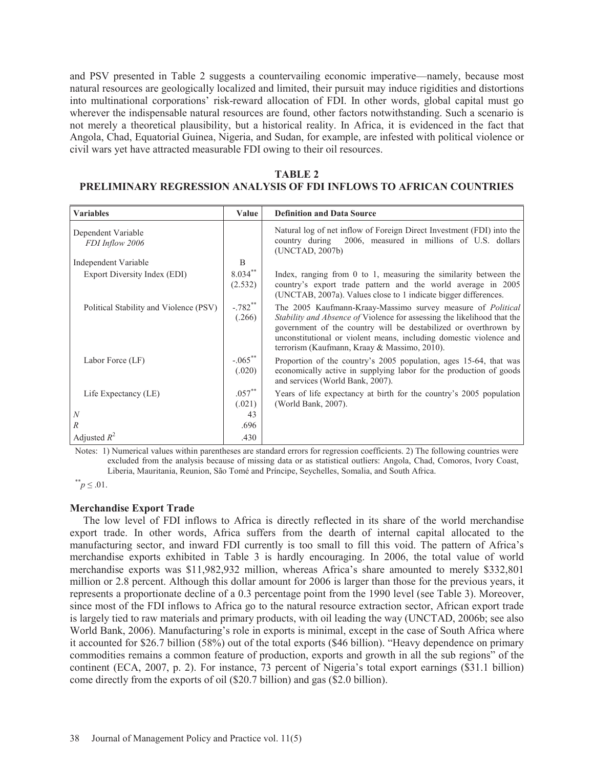and PSV presented in Table 2 suggests a countervailing economic imperative—namely, because most natural resources are geologically localized and limited, their pursuit may induce rigidities and distortions into multinational corporations' risk-reward allocation of FDI. In other words, global capital must go wherever the indispensable natural resources are found, other factors notwithstanding. Such a scenario is not merely a theoretical plausibility, but a historical reality. In Africa, it is evidenced in the fact that Angola, Chad, Equatorial Guinea, Nigeria, and Sudan, for example, are infested with political violence or civil wars yet have attracted measurable FDI owing to their oil resources.

| <b>TABLE 2</b>                                                      |
|---------------------------------------------------------------------|
| PRELIMINARY REGRESSION ANALYSIS OF FDI INFLOWS TO AFRICAN COUNTRIES |

| <b>Variables</b>                       | Value                           | <b>Definition and Data Source</b>                                                                                                                                                                                                                                                                                                      |
|----------------------------------------|---------------------------------|----------------------------------------------------------------------------------------------------------------------------------------------------------------------------------------------------------------------------------------------------------------------------------------------------------------------------------------|
| Dependent Variable<br>FDI Inflow 2006  |                                 | Natural log of net inflow of Foreign Direct Investment (FDI) into the<br>country during 2006, measured in millions of U.S. dollars<br>(UNCTAD, 2007b)                                                                                                                                                                                  |
| Independent Variable                   | B                               |                                                                                                                                                                                                                                                                                                                                        |
| Export Diversity Index (EDI)           | $8.034***$<br>(2.532)           | Index, ranging from $0$ to 1, measuring the similarity between the<br>country's export trade pattern and the world average in 2005<br>(UNCTAB, 2007a). Values close to 1 indicate bigger differences.                                                                                                                                  |
| Political Stability and Violence (PSV) | $-.782**$<br>(.266)             | The 2005 Kaufmann-Kraay-Massimo survey measure of <i>Political</i><br>Stability and Absence of Violence for assessing the likelihood that the<br>government of the country will be destabilized or overthrown by<br>unconstitutional or violent means, including domestic violence and<br>terrorism (Kaufmann, Kraay & Massimo, 2010). |
| Labor Force (LF)                       | $-.065$ <sup>**</sup><br>(.020) | Proportion of the country's 2005 population, ages 15-64, that was<br>economically active in supplying labor for the production of goods<br>and services (World Bank, 2007).                                                                                                                                                            |
| Life Expectancy (LE)                   | $.057***$<br>(.021)             | Years of life expectancy at birth for the country's 2005 population<br>(World Bank, 2007).                                                                                                                                                                                                                                             |
| $\boldsymbol{N}$                       | 43                              |                                                                                                                                                                                                                                                                                                                                        |
| $\mathbb{R}^n$                         | .696                            |                                                                                                                                                                                                                                                                                                                                        |
| Adjusted $R^2$                         | .430                            |                                                                                                                                                                                                                                                                                                                                        |

Notes: 1) Numerical values within parentheses are standard errors for regression coefficients. 2) The following countries were excluded from the analysis because of missing data or as statistical outliers: Angola, Chad, Comoros, Ivory Coast, Liberia, Mauritania, Reunion, São Tomé and Príncipe, Seychelles, Somalia, and South Africa.

 $p^* \leq .01$ .

### **Merchandise Export Trade**

 The low level of FDI inflows to Africa is directly reflected in its share of the world merchandise export trade. In other words, Africa suffers from the dearth of internal capital allocated to the manufacturing sector, and inward FDI currently is too small to fill this void. The pattern of Africa's merchandise exports exhibited in Table 3 is hardly encouraging. In 2006, the total value of world merchandise exports was \$11,982,932 million, whereas Africa's share amounted to merely \$332,801 million or 2.8 percent. Although this dollar amount for 2006 is larger than those for the previous years, it represents a proportionate decline of a 0.3 percentage point from the 1990 level (see Table 3). Moreover, since most of the FDI inflows to Africa go to the natural resource extraction sector, African export trade is largely tied to raw materials and primary products, with oil leading the way (UNCTAD, 2006b; see also World Bank, 2006). Manufacturing's role in exports is minimal, except in the case of South Africa where it accounted for \$26.7 billion (58%) out of the total exports (\$46 billion). "Heavy dependence on primary commodities remains a common feature of production, exports and growth in all the sub regions" of the continent (ECA, 2007, p. 2). For instance, 73 percent of Nigeria's total export earnings (\$31.1 billion) come directly from the exports of oil (\$20.7 billion) and gas (\$2.0 billion).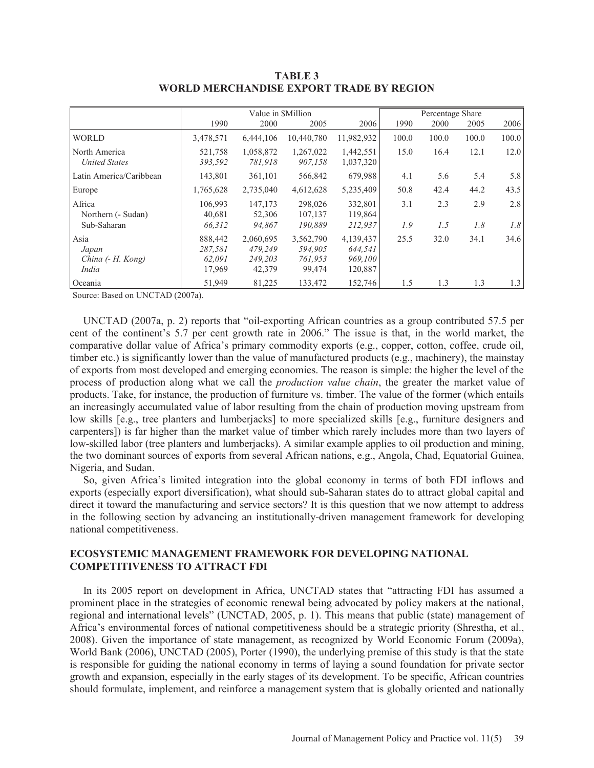|                                             | Value in <i>SMillion</i>               |                                           |                                           | Percentage Share                           |       |       |       |       |
|---------------------------------------------|----------------------------------------|-------------------------------------------|-------------------------------------------|--------------------------------------------|-------|-------|-------|-------|
|                                             | 1990                                   | 2000                                      | 2005                                      | 2006                                       | 1990  | 2000  | 2005  | 2006  |
| <b>WORLD</b>                                | 3,478,571                              | 6,444,106                                 | 10,440,780                                | 11,982,932                                 | 100.0 | 100.0 | 100.0 | 100.0 |
| North America<br><b>United States</b>       | 521,758<br>393,592                     | 1,058,872<br>781,918                      | 1,267,022<br>907,158                      | 1,442,551<br>1,037,320                     | 15.0  | 16.4  | 12.1  | 12.0  |
| Latin America/Caribbean                     | 143,801                                | 361,101                                   | 566,842                                   | 679,988                                    | 4.1   | 5.6   | 5.4   | 5.8   |
| Europe                                      | 1,765,628                              | 2,735,040                                 | 4,612,628                                 | 5,235,409                                  | 50.8  | 42.4  | 44.2  | 43.5  |
| Africa<br>Northern (- Sudan)                | 106.993<br>40,681                      | 147,173<br>52,306                         | 298,026<br>107,137                        | 332,801<br>119,864                         | 3.1   | 2.3   | 2.9   | 2.8   |
| Sub-Saharan                                 | 66,312                                 | 94.867                                    | 190,889                                   | 212,937                                    | 1.9   | 1.5   | 1.8   | 1.8   |
| Asia<br>Japan<br>China (- H. Kong)<br>India | 888,442<br>287,581<br>62,091<br>17,969 | 2,060,695<br>479.249<br>249,203<br>42,379 | 3,562,790<br>594,905<br>761,953<br>99,474 | 4,139,437<br>644,541<br>969,100<br>120,887 | 25.5  | 32.0  | 34.1  | 34.6  |
| Oceania                                     | 51,949                                 | 81,225                                    | 133,472                                   | 152,746                                    | 1.5   | 1.3   | 1.3   | 1.3   |

**TABLE 3 WORLD MERCHANDISE EXPORT TRADE BY REGION** 

Source: Based on UNCTAD (2007a).

 UNCTAD (2007a, p. 2) reports that "oil-exporting African countries as a group contributed 57.5 per cent of the continent's 5.7 per cent growth rate in 2006." The issue is that, in the world market, the comparative dollar value of Africa's primary commodity exports (e.g., copper, cotton, coffee, crude oil, timber etc.) is significantly lower than the value of manufactured products (e.g., machinery), the mainstay of exports from most developed and emerging economies. The reason is simple: the higher the level of the process of production along what we call the *production value chain*, the greater the market value of products. Take, for instance, the production of furniture vs. timber. The value of the former (which entails an increasingly accumulated value of labor resulting from the chain of production moving upstream from low skills [e.g., tree planters and lumberjacks] to more specialized skills [e.g., furniture designers and carpenters]) is far higher than the market value of timber which rarely includes more than two layers of low-skilled labor (tree planters and lumberjacks). A similar example applies to oil production and mining, the two dominant sources of exports from several African nations, e.g., Angola, Chad, Equatorial Guinea, Nigeria, and Sudan.

 So, given Africa's limited integration into the global economy in terms of both FDI inflows and exports (especially export diversification), what should sub-Saharan states do to attract global capital and direct it toward the manufacturing and service sectors? It is this question that we now attempt to address in the following section by advancing an institutionally-driven management framework for developing national competitiveness.

# **ECOSYSTEMIC MANAGEMENT FRAMEWORK FOR DEVELOPING NATIONAL COMPETITIVENESS TO ATTRACT FDI**

 In its 2005 report on development in Africa, UNCTAD states that "attracting FDI has assumed a prominent place in the strategies of economic renewal being advocated by policy makers at the national, regional and international levels" (UNCTAD, 2005, p. 1). This means that public (state) management of Africa's environmental forces of national competitiveness should be a strategic priority (Shrestha, et al., 2008). Given the importance of state management, as recognized by World Economic Forum (2009a), World Bank (2006), UNCTAD (2005), Porter (1990), the underlying premise of this study is that the state is responsible for guiding the national economy in terms of laying a sound foundation for private sector growth and expansion, especially in the early stages of its development. To be specific, African countries should formulate, implement, and reinforce a management system that is globally oriented and nationally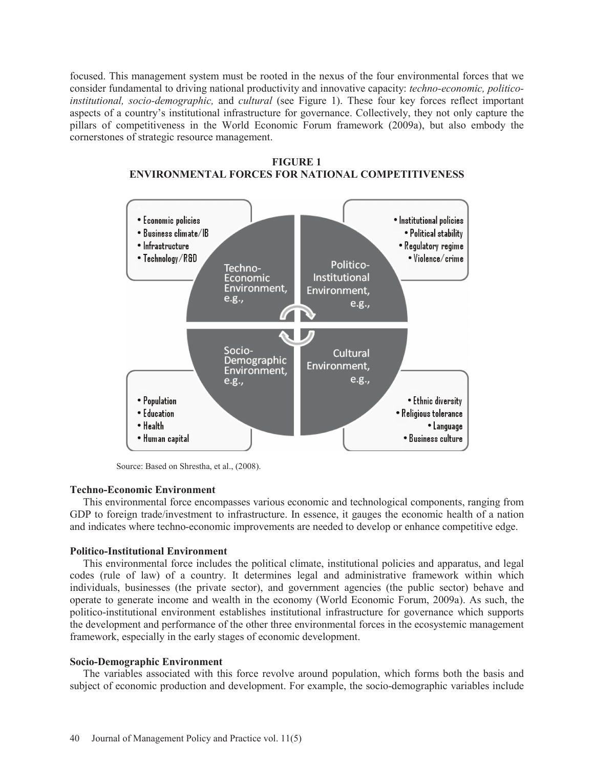focused. This management system must be rooted in the nexus of the four environmental forces that we consider fundamental to driving national productivity and innovative capacity: *techno-economic, politicoinstitutional, socio-demographic,* and *cultural* (see Figure 1). These four key forces reflect important aspects of a country's institutional infrastructure for governance. Collectively, they not only capture the pillars of competitiveness in the World Economic Forum framework (2009a), but also embody the cornerstones of strategic resource management.





Source: Based on Shrestha, et al., (2008).

# **Techno-Economic Environment**

 This environmental force encompasses various economic and technological components, ranging from GDP to foreign trade/investment to infrastructure. In essence, it gauges the economic health of a nation and indicates where techno-economic improvements are needed to develop or enhance competitive edge.

### **Politico-Institutional Environment**

 This environmental force includes the political climate, institutional policies and apparatus, and legal codes (rule of law) of a country. It determines legal and administrative framework within which individuals, businesses (the private sector), and government agencies (the public sector) behave and operate to generate income and wealth in the economy (World Economic Forum, 2009a). As such, the politico-institutional environment establishes institutional infrastructure for governance which supports the development and performance of the other three environmental forces in the ecosystemic management framework, especially in the early stages of economic development.

# **Socio-Demographic Environment**

 The variables associated with this force revolve around population, which forms both the basis and subject of economic production and development. For example, the socio-demographic variables include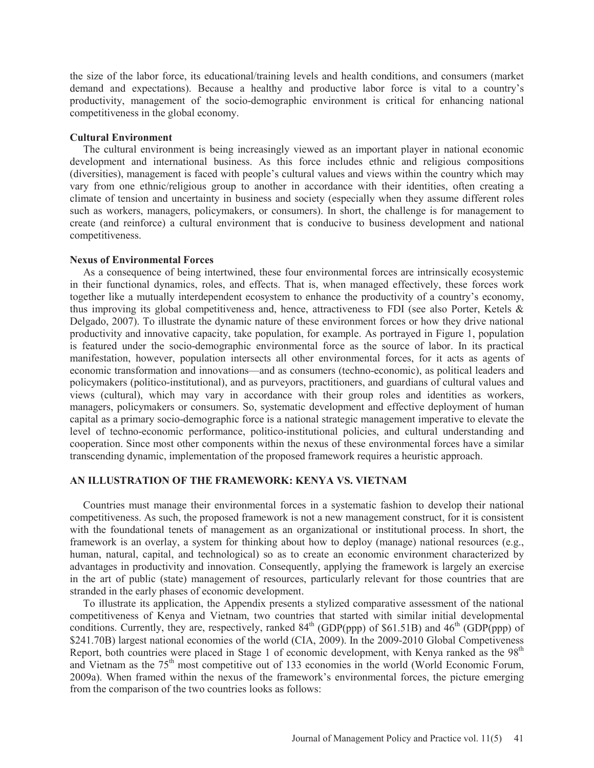the size of the labor force, its educational/training levels and health conditions, and consumers (market demand and expectations). Because a healthy and productive labor force is vital to a country's productivity, management of the socio-demographic environment is critical for enhancing national competitiveness in the global economy.

#### **Cultural Environment**

 The cultural environment is being increasingly viewed as an important player in national economic development and international business. As this force includes ethnic and religious compositions (diversities), management is faced with people's cultural values and views within the country which may vary from one ethnic/religious group to another in accordance with their identities, often creating a climate of tension and uncertainty in business and society (especially when they assume different roles such as workers, managers, policymakers, or consumers). In short, the challenge is for management to create (and reinforce) a cultural environment that is conducive to business development and national competitiveness.

#### **Nexus of Environmental Forces**

 As a consequence of being intertwined, these four environmental forces are intrinsically ecosystemic in their functional dynamics, roles, and effects. That is, when managed effectively, these forces work together like a mutually interdependent ecosystem to enhance the productivity of a country's economy, thus improving its global competitiveness and, hence, attractiveness to FDI (see also Porter, Ketels & Delgado, 2007). To illustrate the dynamic nature of these environment forces or how they drive national productivity and innovative capacity, take population, for example. As portrayed in Figure 1, population is featured under the socio-demographic environmental force as the source of labor. In its practical manifestation, however, population intersects all other environmental forces, for it acts as agents of economic transformation and innovations—and as consumers (techno-economic), as political leaders and policymakers (politico-institutional), and as purveyors, practitioners, and guardians of cultural values and views (cultural), which may vary in accordance with their group roles and identities as workers, managers, policymakers or consumers. So, systematic development and effective deployment of human capital as a primary socio-demographic force is a national strategic management imperative to elevate the level of techno-economic performance, politico-institutional policies, and cultural understanding and cooperation. Since most other components within the nexus of these environmental forces have a similar transcending dynamic, implementation of the proposed framework requires a heuristic approach.

## **AN ILLUSTRATION OF THE FRAMEWORK: KENYA VS. VIETNAM**

 Countries must manage their environmental forces in a systematic fashion to develop their national competitiveness. As such, the proposed framework is not a new management construct, for it is consistent with the foundational tenets of management as an organizational or institutional process. In short, the framework is an overlay, a system for thinking about how to deploy (manage) national resources (e.g., human, natural, capital, and technological) so as to create an economic environment characterized by advantages in productivity and innovation. Consequently, applying the framework is largely an exercise in the art of public (state) management of resources, particularly relevant for those countries that are stranded in the early phases of economic development.

 To illustrate its application, the Appendix presents a stylized comparative assessment of the national competitiveness of Kenya and Vietnam, two countries that started with similar initial developmental conditions. Currently, they are, respectively, ranked  $84<sup>th</sup>$  (GDP(ppp) of \$61.51B) and  $46<sup>th</sup>$  (GDP(ppp) of \$241.70B) largest national economies of the world (CIA, 2009). In the 2009-2010 Global Competiveness Report, both countries were placed in Stage 1 of economic development, with Kenya ranked as the 98<sup>th</sup> and Vietnam as the 75<sup>th</sup> most competitive out of 133 economies in the world (World Economic Forum, 2009a). When framed within the nexus of the framework's environmental forces, the picture emerging from the comparison of the two countries looks as follows: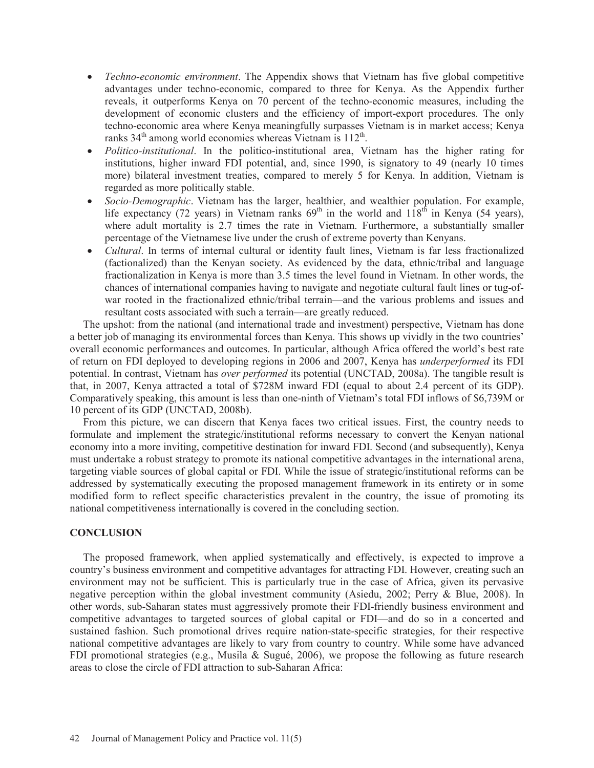- *Techno-economic environment*. The Appendix shows that Vietnam has five global competitive advantages under techno-economic, compared to three for Kenya. As the Appendix further reveals, it outperforms Kenya on 70 percent of the techno-economic measures, including the development of economic clusters and the efficiency of import-export procedures. The only techno-economic area where Kenya meaningfully surpasses Vietnam is in market access; Kenya ranks  $34<sup>th</sup>$  among world economies whereas Vietnam is  $112<sup>th</sup>$ .
- x *Politico-institutional*. In the politico-institutional area, Vietnam has the higher rating for institutions, higher inward FDI potential, and, since 1990, is signatory to 49 (nearly 10 times more) bilateral investment treaties, compared to merely 5 for Kenya. In addition, Vietnam is regarded as more politically stable.
- x *Socio-Demographic*. Vietnam has the larger, healthier, and wealthier population. For example, life expectancy (72 years) in Vietnam ranks  $69<sup>th</sup>$  in the world and  $118<sup>th</sup>$  in Kenya (54 years), where adult mortality is 2.7 times the rate in Vietnam. Furthermore, a substantially smaller percentage of the Vietnamese live under the crush of extreme poverty than Kenyans.
- *Cultural*. In terms of internal cultural or identity fault lines, Vietnam is far less fractionalized (factionalized) than the Kenyan society. As evidenced by the data, ethnic/tribal and language fractionalization in Kenya is more than 3.5 times the level found in Vietnam. In other words, the chances of international companies having to navigate and negotiate cultural fault lines or tug-ofwar rooted in the fractionalized ethnic/tribal terrain—and the various problems and issues and resultant costs associated with such a terrain—are greatly reduced.

 The upshot: from the national (and international trade and investment) perspective, Vietnam has done a better job of managing its environmental forces than Kenya. This shows up vividly in the two countries' overall economic performances and outcomes. In particular, although Africa offered the world's best rate of return on FDI deployed to developing regions in 2006 and 2007, Kenya has *underperformed* its FDI potential. In contrast, Vietnam has *over performed* its potential (UNCTAD, 2008a). The tangible result is that, in 2007, Kenya attracted a total of \$728M inward FDI (equal to about 2.4 percent of its GDP). Comparatively speaking, this amount is less than one-ninth of Vietnam's total FDI inflows of \$6,739M or 10 percent of its GDP (UNCTAD, 2008b).

 From this picture, we can discern that Kenya faces two critical issues. First, the country needs to formulate and implement the strategic/institutional reforms necessary to convert the Kenyan national economy into a more inviting, competitive destination for inward FDI. Second (and subsequently), Kenya must undertake a robust strategy to promote its national competitive advantages in the international arena, targeting viable sources of global capital or FDI. While the issue of strategic/institutional reforms can be addressed by systematically executing the proposed management framework in its entirety or in some modified form to reflect specific characteristics prevalent in the country, the issue of promoting its national competitiveness internationally is covered in the concluding section.

# **CONCLUSION**

 The proposed framework, when applied systematically and effectively, is expected to improve a country's business environment and competitive advantages for attracting FDI. However, creating such an environment may not be sufficient. This is particularly true in the case of Africa, given its pervasive negative perception within the global investment community (Asiedu, 2002; Perry & Blue, 2008). In other words, sub-Saharan states must aggressively promote their FDI-friendly business environment and competitive advantages to targeted sources of global capital or FDI—and do so in a concerted and sustained fashion. Such promotional drives require nation-state-specific strategies, for their respective national competitive advantages are likely to vary from country to country. While some have advanced FDI promotional strategies (e.g., Musila & Sugué, 2006), we propose the following as future research areas to close the circle of FDI attraction to sub-Saharan Africa: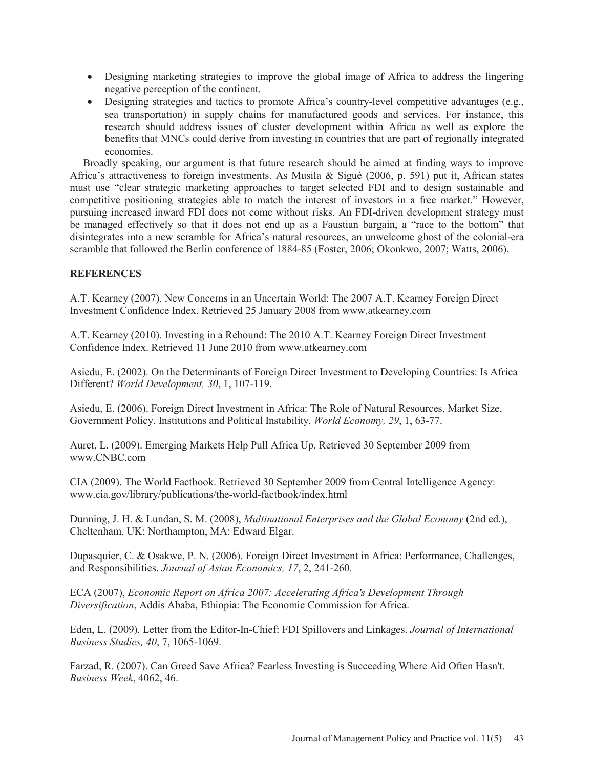- Designing marketing strategies to improve the global image of Africa to address the lingering negative perception of the continent.
- Designing strategies and tactics to promote Africa's country-level competitive advantages (e.g., sea transportation) in supply chains for manufactured goods and services. For instance, this research should address issues of cluster development within Africa as well as explore the benefits that MNCs could derive from investing in countries that are part of regionally integrated economies.

 Broadly speaking, our argument is that future research should be aimed at finding ways to improve Africa's attractiveness to foreign investments. As Musila & Sigué (2006, p. 591) put it, African states must use "clear strategic marketing approaches to target selected FDI and to design sustainable and competitive positioning strategies able to match the interest of investors in a free market." However, pursuing increased inward FDI does not come without risks. An FDI-driven development strategy must be managed effectively so that it does not end up as a Faustian bargain, a "race to the bottom" that disintegrates into a new scramble for Africa's natural resources, an unwelcome ghost of the colonial-era scramble that followed the Berlin conference of 1884-85 (Foster, 2006; Okonkwo, 2007; Watts, 2006).

# **REFERENCES**

A.T. Kearney (2007). New Concerns in an Uncertain World: The 2007 A.T. Kearney Foreign Direct Investment Confidence Index. Retrieved 25 January 2008 from www.atkearney.com

A.T. Kearney (2010). Investing in a Rebound: The 2010 A.T. Kearney Foreign Direct Investment Confidence Index. Retrieved 11 June 2010 from www.atkearney.com

Asiedu, E. (2002). On the Determinants of Foreign Direct Investment to Developing Countries: Is Africa Different? *World Development, 30*, 1, 107-119.

Asiedu, E. (2006). Foreign Direct Investment in Africa: The Role of Natural Resources, Market Size, Government Policy, Institutions and Political Instability. *World Economy, 29*, 1, 63-77.

Auret, L. (2009). Emerging Markets Help Pull Africa Up. Retrieved 30 September 2009 from www.CNBC.com

CIA (2009). The World Factbook. Retrieved 30 September 2009 from Central Intelligence Agency: www.cia.gov/library/publications/the-world-factbook/index.html

Dunning, J. H. & Lundan, S. M. (2008), *Multinational Enterprises and the Global Economy* (2nd ed.), Cheltenham, UK; Northampton, MA: Edward Elgar.

Dupasquier, C. & Osakwe, P. N. (2006). Foreign Direct Investment in Africa: Performance, Challenges, and Responsibilities. *Journal of Asian Economics, 17*, 2, 241-260.

ECA (2007), *Economic Report on Africa 2007: Accelerating Africa's Development Through Diversification*, Addis Ababa, Ethiopia: The Economic Commission for Africa.

Eden, L. (2009). Letter from the Editor-In-Chief: FDI Spillovers and Linkages. *Journal of International Business Studies, 40*, 7, 1065-1069.

Farzad, R. (2007). Can Greed Save Africa? Fearless Investing is Succeeding Where Aid Often Hasn't. *Business Week*, 4062, 46.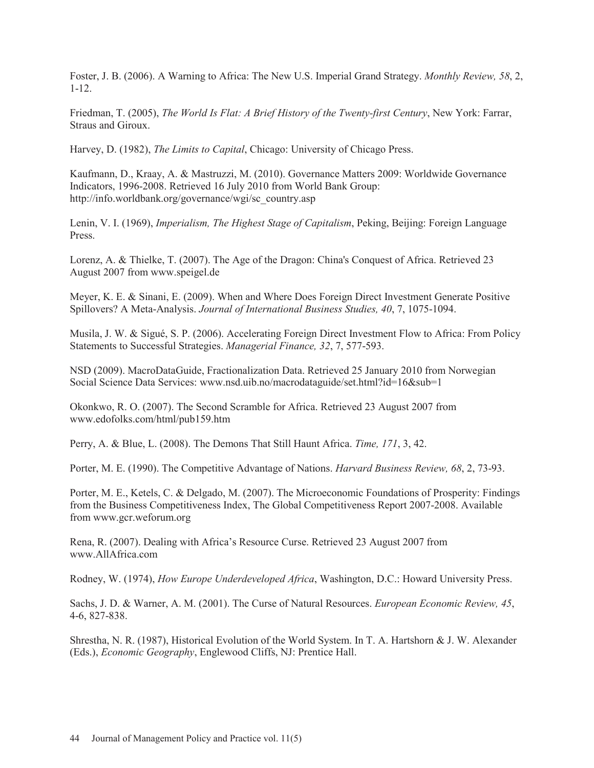Foster, J. B. (2006). A Warning to Africa: The New U.S. Imperial Grand Strategy. *Monthly Review, 58*, 2, 1-12.

Friedman, T. (2005), *The World Is Flat: A Brief History of the Twenty-first Century*, New York: Farrar, Straus and Giroux.

Harvey, D. (1982), *The Limits to Capital*, Chicago: University of Chicago Press.

Kaufmann, D., Kraay, A. & Mastruzzi, M. (2010). Governance Matters 2009: Worldwide Governance Indicators, 1996-2008. Retrieved 16 July 2010 from World Bank Group: http://info.worldbank.org/governance/wgi/sc\_country.asp

Lenin, V. I. (1969), *Imperialism, The Highest Stage of Capitalism*, Peking, Beijing: Foreign Language Press.

Lorenz, A. & Thielke, T. (2007). The Age of the Dragon: China's Conquest of Africa. Retrieved 23 August 2007 from www.speigel.de

Meyer, K. E. & Sinani, E. (2009). When and Where Does Foreign Direct Investment Generate Positive Spillovers? A Meta-Analysis. *Journal of International Business Studies, 40*, 7, 1075-1094.

Musila, J. W. & Sigué, S. P. (2006). Accelerating Foreign Direct Investment Flow to Africa: From Policy Statements to Successful Strategies. *Managerial Finance, 32*, 7, 577-593.

NSD (2009). MacroDataGuide, Fractionalization Data. Retrieved 25 January 2010 from Norwegian Social Science Data Services: www.nsd.uib.no/macrodataguide/set.html?id=16&sub=1

Okonkwo, R. O. (2007). The Second Scramble for Africa. Retrieved 23 August 2007 from www.edofolks.com/html/pub159.htm

Perry, A. & Blue, L. (2008). The Demons That Still Haunt Africa. *Time, 171*, 3, 42.

Porter, M. E. (1990). The Competitive Advantage of Nations. *Harvard Business Review, 68*, 2, 73-93.

Porter, M. E., Ketels, C. & Delgado, M. (2007). The Microeconomic Foundations of Prosperity: Findings from the Business Competitiveness Index, The Global Competitiveness Report 2007-2008. Available from www.gcr.weforum.org

Rena, R. (2007). Dealing with Africa's Resource Curse. Retrieved 23 August 2007 from www.AllAfrica.com

Rodney, W. (1974), *How Europe Underdeveloped Africa*, Washington, D.C.: Howard University Press.

Sachs, J. D. & Warner, A. M. (2001). The Curse of Natural Resources. *European Economic Review, 45*, 4-6, 827-838.

Shrestha, N. R. (1987), Historical Evolution of the World System. In T. A. Hartshorn & J. W. Alexander (Eds.), *Economic Geography*, Englewood Cliffs, NJ: Prentice Hall.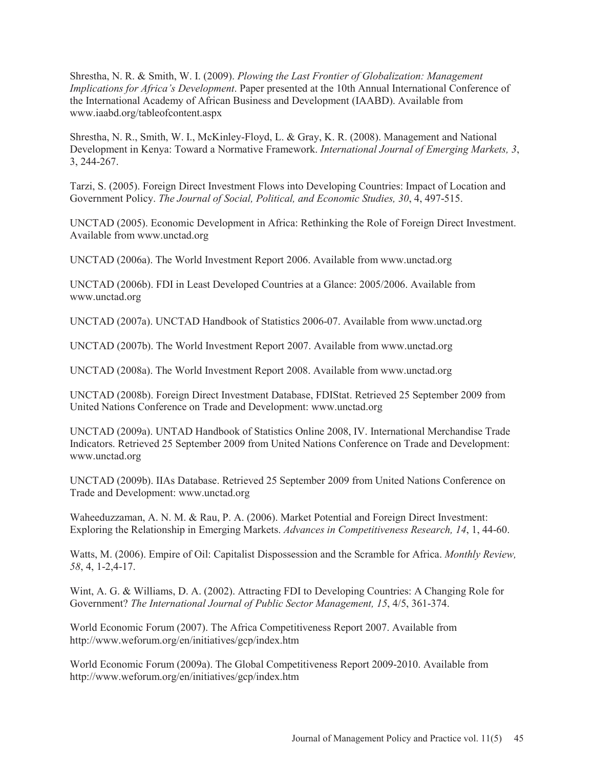Shrestha, N. R. & Smith, W. I. (2009). *Plowing the Last Frontier of Globalization: Management Implications for Africa's Development*. Paper presented at the 10th Annual International Conference of the International Academy of African Business and Development (IAABD). Available from www.iaabd.org/tableofcontent.aspx

Shrestha, N. R., Smith, W. I., McKinley-Floyd, L. & Gray, K. R. (2008). Management and National Development in Kenya: Toward a Normative Framework. *International Journal of Emerging Markets, 3*, 3, 244-267.

Tarzi, S. (2005). Foreign Direct Investment Flows into Developing Countries: Impact of Location and Government Policy. *The Journal of Social, Political, and Economic Studies, 30*, 4, 497-515.

UNCTAD (2005). Economic Development in Africa: Rethinking the Role of Foreign Direct Investment. Available from www.unctad.org

UNCTAD (2006a). The World Investment Report 2006. Available from www.unctad.org

UNCTAD (2006b). FDI in Least Developed Countries at a Glance: 2005/2006. Available from www.unctad.org

UNCTAD (2007a). UNCTAD Handbook of Statistics 2006-07. Available from www.unctad.org

UNCTAD (2007b). The World Investment Report 2007. Available from www.unctad.org

UNCTAD (2008a). The World Investment Report 2008. Available from www.unctad.org

UNCTAD (2008b). Foreign Direct Investment Database, FDIStat. Retrieved 25 September 2009 from United Nations Conference on Trade and Development: www.unctad.org

UNCTAD (2009a). UNTAD Handbook of Statistics Online 2008, IV. International Merchandise Trade Indicators. Retrieved 25 September 2009 from United Nations Conference on Trade and Development: www.unctad.org

UNCTAD (2009b). IIAs Database. Retrieved 25 September 2009 from United Nations Conference on Trade and Development: www.unctad.org

Waheeduzzaman, A. N. M. & Rau, P. A. (2006). Market Potential and Foreign Direct Investment: Exploring the Relationship in Emerging Markets. *Advances in Competitiveness Research, 14*, 1, 44-60.

Watts, M. (2006). Empire of Oil: Capitalist Dispossession and the Scramble for Africa. *Monthly Review, 58*, 4, 1-2,4-17.

Wint, A. G. & Williams, D. A. (2002). Attracting FDI to Developing Countries: A Changing Role for Government? *The International Journal of Public Sector Management, 15*, 4/5, 361-374.

World Economic Forum (2007). The Africa Competitiveness Report 2007. Available from http://www.weforum.org/en/initiatives/gcp/index.htm

World Economic Forum (2009a). The Global Competitiveness Report 2009-2010. Available from http://www.weforum.org/en/initiatives/gcp/index.htm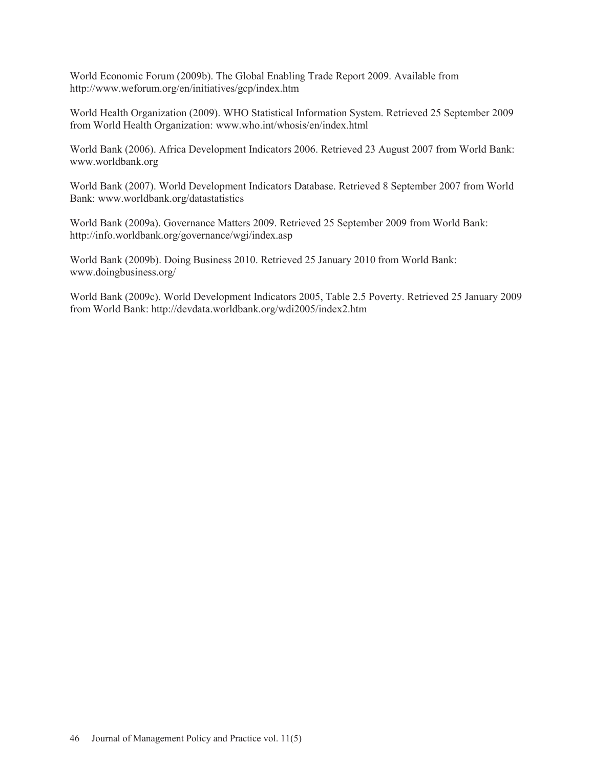World Economic Forum (2009b). The Global Enabling Trade Report 2009. Available from http://www.weforum.org/en/initiatives/gcp/index.htm

World Health Organization (2009). WHO Statistical Information System. Retrieved 25 September 2009 from World Health Organization: www.who.int/whosis/en/index.html

World Bank (2006). Africa Development Indicators 2006. Retrieved 23 August 2007 from World Bank: www.worldbank.org

World Bank (2007). World Development Indicators Database. Retrieved 8 September 2007 from World Bank: www.worldbank.org/datastatistics

World Bank (2009a). Governance Matters 2009. Retrieved 25 September 2009 from World Bank: http://info.worldbank.org/governance/wgi/index.asp

World Bank (2009b). Doing Business 2010. Retrieved 25 January 2010 from World Bank: www.doingbusiness.org/

World Bank (2009c). World Development Indicators 2005, Table 2.5 Poverty. Retrieved 25 January 2009 from World Bank: http://devdata.worldbank.org/wdi2005/index2.htm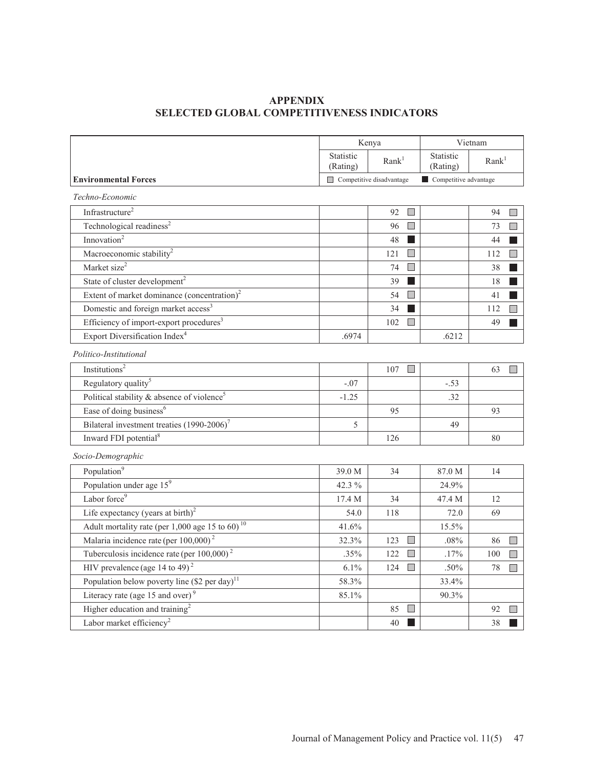# **APPENDIX SELECTED GLOBAL COMPETITIVENESS INDICATORS**

|                                                             | Kenya                                      |                                 | Vietnam                              |                                |  |
|-------------------------------------------------------------|--------------------------------------------|---------------------------------|--------------------------------------|--------------------------------|--|
|                                                             | Statistic<br>Rank <sup>1</sup><br>(Rating) |                                 | Statistic<br>(Rating)                | Rank <sup>1</sup>              |  |
| <b>Environmental Forces</b>                                 |                                            | $\Box$ Competitive disadvantage | $\blacksquare$ Competitive advantage |                                |  |
| Techno-Economic                                             |                                            |                                 |                                      |                                |  |
| Infrastructure <sup>2</sup>                                 |                                            | $\Box$<br>92                    |                                      | 94<br>H                        |  |
| Technological readiness <sup>2</sup>                        |                                            | 96<br><b>I</b>                  |                                      | $\Box$<br>73                   |  |
| Innovation <sup>2</sup>                                     |                                            | 48                              |                                      | 44                             |  |
| Macroeconomic stability <sup>2</sup>                        |                                            | $\Box$<br>121                   |                                      | $\Box$<br>112                  |  |
| Market size <sup>2</sup>                                    |                                            | $\Box$<br>74                    |                                      | 38                             |  |
| State of cluster development <sup>2</sup>                   |                                            | 39<br>- 1                       |                                      | 18                             |  |
| Extent of market dominance (concentration) $2$              |                                            | 54<br>$\Box$                    |                                      | 41                             |  |
| Domestic and foreign market access <sup>3</sup>             |                                            | 34                              |                                      | 112                            |  |
| Efficiency of import-export procedures <sup>3</sup>         |                                            | 102                             |                                      | 49                             |  |
| Export Diversification Index <sup>4</sup>                   | .6974                                      |                                 | .6212                                |                                |  |
| Politico-Institutional                                      |                                            |                                 |                                      |                                |  |
| Institutions <sup>2</sup>                                   |                                            | $\Box$<br>107                   |                                      | 63                             |  |
| Regulatory quality <sup>5</sup>                             | $-.07$                                     |                                 | $-.53$                               |                                |  |
| Political stability $\&$ absence of violence <sup>5</sup>   | $-1.25$                                    |                                 | .32                                  |                                |  |
| Ease of doing business <sup>6</sup>                         |                                            | 95                              |                                      | 93                             |  |
| Bilateral investment treaties (1990-2006) <sup>7</sup>      | 5                                          |                                 | 49                                   |                                |  |
| Inward FDI potential <sup>8</sup>                           |                                            | 126                             |                                      | 80                             |  |
| Socio-Demographic                                           |                                            |                                 |                                      |                                |  |
| Population <sup>9</sup>                                     | 39.0 M                                     | 34                              | 87.0 M                               | 14                             |  |
| Population under age 15 <sup>9</sup>                        | 42.3 %                                     |                                 | 24.9%                                |                                |  |
| Labor force <sup>9</sup>                                    | 17.4 M                                     | 34                              | 47.4 M                               | 12                             |  |
| Life expectancy (years at birth) $^{2}$                     | 54.0                                       | 118                             | 72.0                                 | 69                             |  |
| Adult mortality rate (per 1,000 age 15 to 60) <sup>10</sup> | 41.6%                                      |                                 | 15.5%                                |                                |  |
| Malaria incidence rate (per 100,000) <sup>2</sup>           | 32.3%                                      | 123<br>$\overline{\phantom{a}}$ | .08%                                 | 86<br>$\Box$                   |  |
| Tuberculosis incidence rate (per $100,000$ ) <sup>2</sup>   | .35%                                       | 122<br>$\Box$                   | .17%                                 | 100<br>$\Box$                  |  |
| HIV prevalence (age 14 to 49) <sup>2</sup>                  | $6.1\%$                                    | $\Box$<br>124                   | .50%                                 | $\overline{\phantom{a}}$<br>78 |  |
| Population below poverty line (\$2 per day) <sup>11</sup>   | 58.3%                                      |                                 | 33.4%                                |                                |  |
| Literacy rate (age 15 and over) $9$                         | 85.1%                                      |                                 | 90.3%                                |                                |  |
| Higher education and training <sup>2</sup>                  |                                            | 85                              |                                      | 92                             |  |
| Labor market efficiency <sup>2</sup>                        |                                            | 40                              |                                      | 38                             |  |